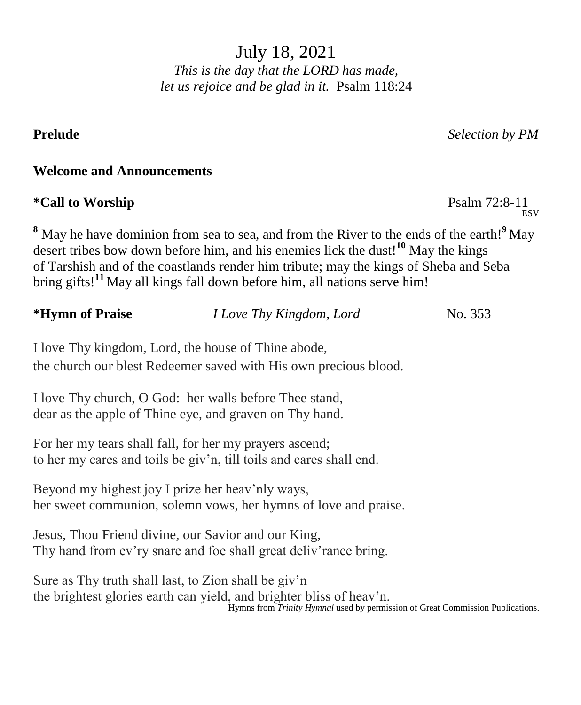July 18, 2021 *This is the day that the LORD has made, let us rejoice and be glad in it.* Psalm 118:24

**Prelude** *Selection by PM*

**ESV** 

### **Welcome and Announcements**

# **\*Call to Worship** Psalm 72:8-11

**<sup>8</sup>** May he have dominion from sea to sea, and from the River to the ends of the earth!**<sup>9</sup>** May desert tribes bow down before him, and his enemies lick the dust!**<sup>10</sup>** May the kings of Tarshish and of the coastlands render him tribute; may the kings of Sheba and Seba bring gifts!**<sup>11</sup>** May all kings fall down before him, all nations serve him!

| *Hymn of Praise | <i>I Love Thy Kingdom, Lord</i>                                                                                         | No. 353 |
|-----------------|-------------------------------------------------------------------------------------------------------------------------|---------|
|                 | I love Thy kingdom, Lord, the house of Thine abode,<br>the church our blest Redeemer saved with His own precious blood. |         |
|                 |                                                                                                                         |         |

I love Thy church, O God: her walls before Thee stand, dear as the apple of Thine eye, and graven on Thy hand.

For her my tears shall fall, for her my prayers ascend; to her my cares and toils be giv'n, till toils and cares shall end.

Beyond my highest joy I prize her heav'nly ways, her sweet communion, solemn vows, her hymns of love and praise.

Jesus, Thou Friend divine, our Savior and our King, Thy hand from ev'ry snare and foe shall great deliv'rance bring.

Sure as Thy truth shall last, to Zion shall be giv'n the brightest glories earth can yield, and brighter bliss of heav'n. Hymns from *Trinity Hymnal* used by permission of Great Commission Publications.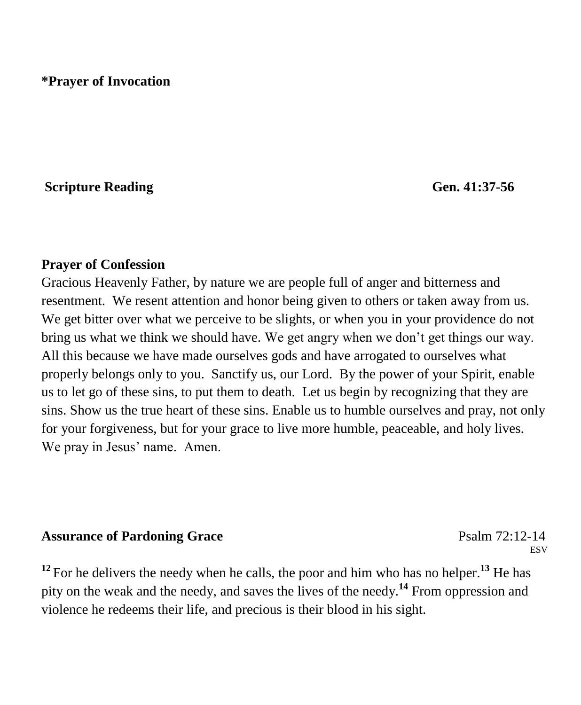# **\*Prayer of Invocation**

### **Scripture Reading Gen. 41:37-56**

### **Prayer of Confession**

Gracious Heavenly Father, by nature we are people full of anger and bitterness and resentment. We resent attention and honor being given to others or taken away from us. We get bitter over what we perceive to be slights, or when you in your providence do not bring us what we think we should have. We get angry when we don't get things our way. All this because we have made ourselves gods and have arrogated to ourselves what properly belongs only to you. Sanctify us, our Lord. By the power of your Spirit, enable us to let go of these sins, to put them to death. Let us begin by recognizing that they are sins. Show us the true heart of these sins. Enable us to humble ourselves and pray, not only for your forgiveness, but for your grace to live more humble, peaceable, and holy lives. We pray in Jesus' name. Amen.

### **Assurance of Pardoning Grace** Psalm 72:12-14

**ESV** 

<sup>12</sup> For he delivers the needy when he calls, the poor and him who has no helper.<sup>13</sup> He has pity on the weak and the needy, and saves the lives of the needy.**<sup>14</sup>** From oppression and violence he redeems their life, and precious is their blood in his sight.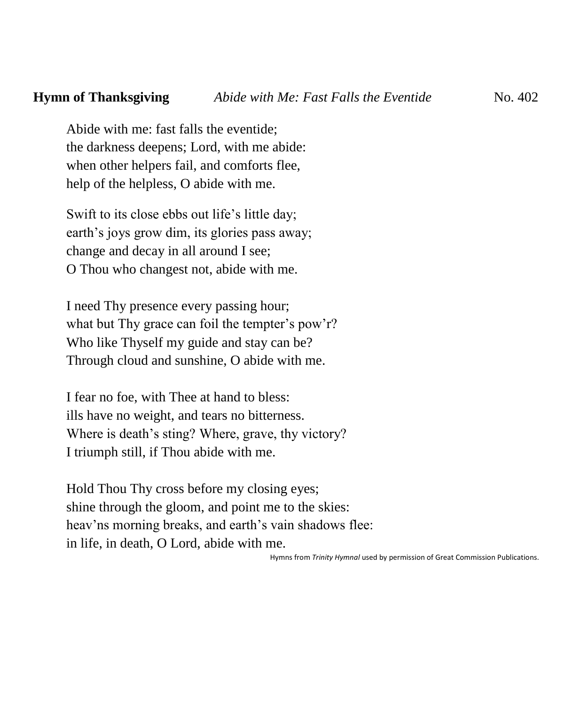Abide with me: fast falls the eventide; the darkness deepens; Lord, with me abide: when other helpers fail, and comforts flee, help of the helpless, O abide with me.

Swift to its close ebbs out life's little day; earth's joys grow dim, its glories pass away; change and decay in all around I see; O Thou who changest not, abide with me.

I need Thy presence every passing hour; what but Thy grace can foil the tempter's pow'r? Who like Thyself my guide and stay can be? Through cloud and sunshine, O abide with me.

I fear no foe, with Thee at hand to bless: ills have no weight, and tears no bitterness. Where is death's sting? Where, grave, thy victory? I triumph still, if Thou abide with me.

Hold Thou Thy cross before my closing eyes; shine through the gloom, and point me to the skies: heav'ns morning breaks, and earth's vain shadows flee: in life, in death, O Lord, abide with me.

Hymns from *Trinity Hymnal* used by permission of Great Commission Publications.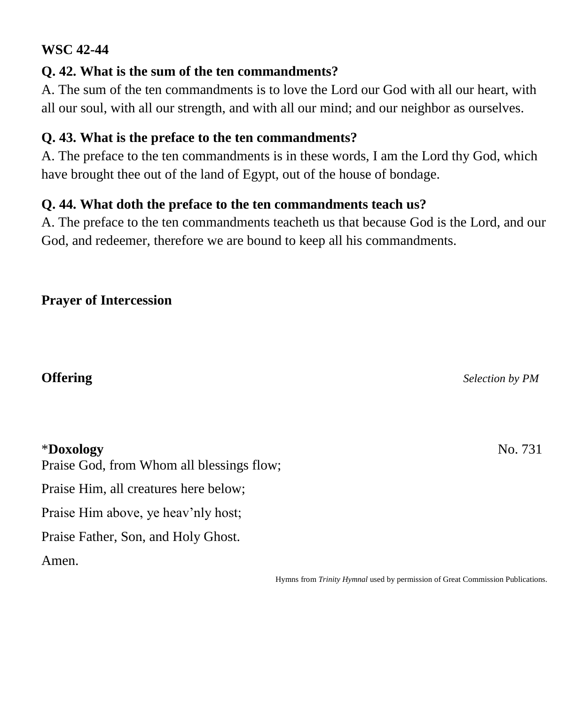## **WSC 42-44**

# **Q. 42. What is the sum of the ten commandments?**

A. The sum of the ten commandments is to love the Lord our God with all our heart, with all our soul, with all our strength, and with all our mind; and our neighbor as ourselves.

# **Q. 43. What is the preface to the ten commandments?**

A. The preface to the ten commandments is in these words, I am the Lord thy God, which have brought thee out of the land of Egypt, out of the house of bondage.

# **Q. 44. What doth the preface to the ten commandments teach us?**

A. The preface to the ten commandments teacheth us that because God is the Lord, and our God, and redeemer, therefore we are bound to keep all his commandments.

# **Prayer of Intercession**

## \***Doxology** No. 731

Praise God, from Whom all blessings flow; Praise Him, all creatures here below; Praise Him above, ye heav'nly host; Praise Father, Son, and Holy Ghost. Amen.

Hymns from *Trinity Hymnal* used by permission of Great Commission Publications.

**Offering** *Selection by PM*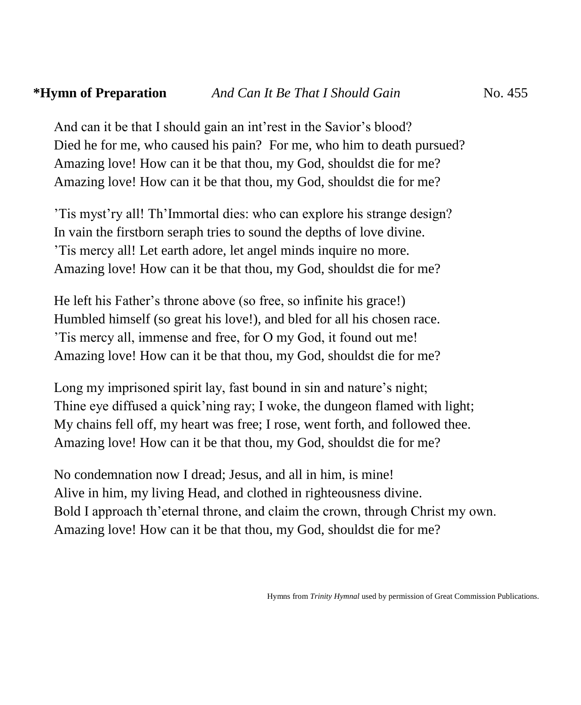### **\*Hymn of Preparation** *And Can It Be That I Should Gain* No. 455*And Can It Be That I Should Gain* No. 455

And can it be that I should gain an int'rest in the Savior's blood? Died he for me, who caused his pain? For me, who him to death pursued? Amazing love! How can it be that thou, my God, shouldst die for me? Amazing love! How can it be that thou, my God, shouldst die for me?

'Tis myst'ry all! Th'Immortal dies: who can explore his strange design? In vain the firstborn seraph tries to sound the depths of love divine. 'Tis mercy all! Let earth adore, let angel minds inquire no more. Amazing love! How can it be that thou, my God, shouldst die for me?

He left his Father's throne above (so free, so infinite his grace!) Humbled himself (so great his love!), and bled for all his chosen race. 'Tis mercy all, immense and free, for O my God, it found out me! Amazing love! How can it be that thou, my God, shouldst die for me?

Long my imprisoned spirit lay, fast bound in sin and nature's night; Thine eye diffused a quick'ning ray; I woke, the dungeon flamed with light; My chains fell off, my heart was free; I rose, went forth, and followed thee. Amazing love! How can it be that thou, my God, shouldst die for me?

No condemnation now I dread; Jesus, and all in him, is mine! Alive in him, my living Head, and clothed in righteousness divine. Bold I approach th'eternal throne, and claim the crown, through Christ my own. Amazing love! How can it be that thou, my God, shouldst die for me?

Hymns from *Trinity Hymnal* used by permission of Great Commission Publications.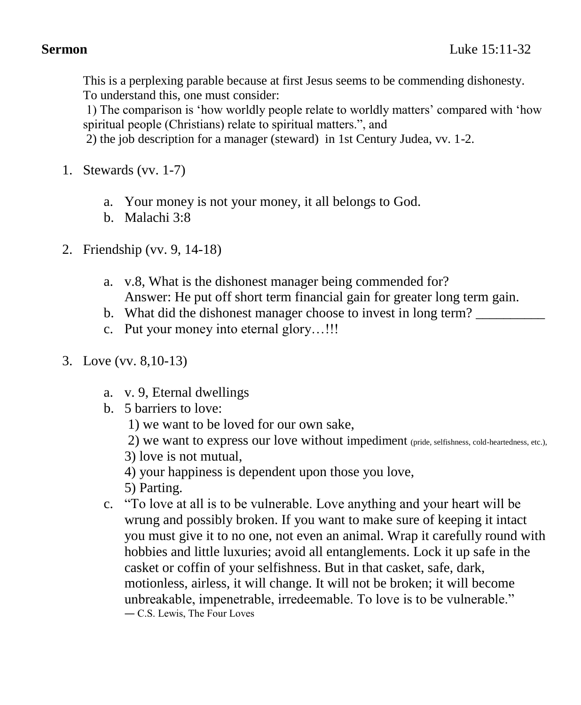This is a perplexing parable because at first Jesus seems to be commending dishonesty. To understand this, one must consider:

1) The comparison is 'how worldly people relate to worldly matters' compared with 'how spiritual people (Christians) relate to spiritual matters.", and

2) the job description for a manager (steward) in 1st Century Judea, vv. 1-2.

- 1. Stewards (vv. 1-7)
	- a. Your money is not your money, it all belongs to God.
	- b. Malachi 3:8
- 2. Friendship (vv. 9, 14-18)
	- a. v.8, What is the dishonest manager being commended for? Answer: He put off short term financial gain for greater long term gain.
	- b. What did the dishonest manager choose to invest in long term?
	- c. Put your money into eternal glory…!!!
- 3. Love (vv. 8,10-13)
	- a. v. 9, Eternal dwellings
	- b. 5 barriers to love:
		- 1) we want to be loved for our own sake,

2) we want to express our love without impediment (pride, selfishness, cold-heartedness, etc.),

- 3) love is not mutual,
- 4) your happiness is dependent upon those you love,
- 5) Parting.
- c. "To love at all is to be vulnerable. Love anything and your heart will be wrung and possibly broken. If you want to make sure of keeping it intact you must give it to no one, not even an animal. Wrap it carefully round with hobbies and little luxuries; avoid all entanglements. Lock it up safe in the casket or coffin of your selfishness. But in that casket, safe, dark, motionless, airless, it will change. It will not be broken; it will become unbreakable, impenetrable, irredeemable. To love is to be vulnerable." ― C.S. Lewis, The Four Loves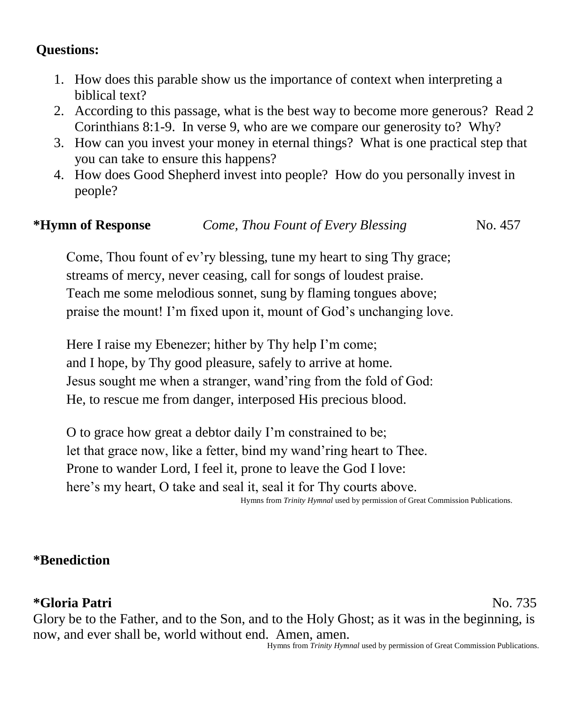# **Questions:**

- 1. How does this parable show us the importance of context when interpreting a biblical text?
- 2. According to this passage, what is the best way to become more generous? Read 2 Corinthians 8:1-9. In verse 9, who are we compare our generosity to? Why?
- 3. How can you invest your money in eternal things? What is one practical step that you can take to ensure this happens?
- 4. How does Good Shepherd invest into people? How do you personally invest in people?

## **\*Hymn of Response** *Come, Thou Fount of Every Blessing*No. 457

Come, Thou fount of ev'ry blessing, tune my heart to sing Thy grace; streams of mercy, never ceasing, call for songs of loudest praise. Teach me some melodious sonnet, sung by flaming tongues above; praise the mount! I'm fixed upon it, mount of God's unchanging love.

Here I raise my Ebenezer; hither by Thy help I'm come; and I hope, by Thy good pleasure, safely to arrive at home. Jesus sought me when a stranger, wand'ring from the fold of God: He, to rescue me from danger, interposed His precious blood.

O to grace how great a debtor daily I'm constrained to be; let that grace now, like a fetter, bind my wand'ring heart to Thee. Prone to wander Lord, I feel it, prone to leave the God I love: here's my heart, O take and seal it, seal it for Thy courts above. Hymns from *Trinity Hymnal* used by permission of Great Commission Publications.

### **\*Benediction**

## **\*Gloria Patri** No. 735

Glory be to the Father, and to the Son, and to the Holy Ghost; as it was in the beginning, is now, and ever shall be, world without end. Amen, amen. Hymns from *Trinity Hymnal* used by permission of Great Commission Publications.